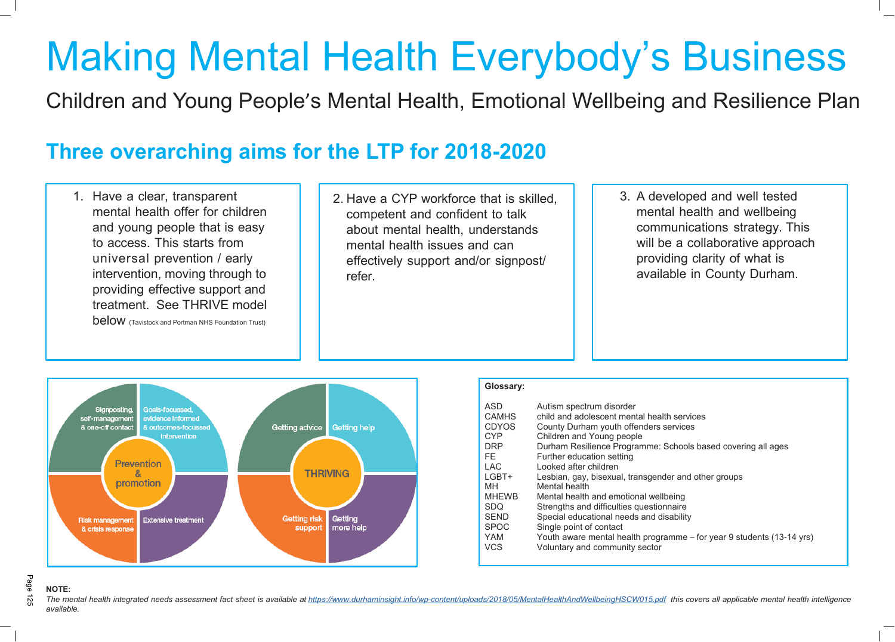

# Making Mental Health Everybody's Business

Children and Young People's Mental Health, Emotional Wellbeing and Resilience Plan

## **Three overarching aims for the LTP for 2018-2020**

- 1. Have a clear, transparent mental health offer for children and young people that is easy to access. This starts from universal prevention / early intervention, moving through to providing effective support and treatment. See THRIVE model **below** (Tavistock and Portman NHS Foundation Trust)
- 2. Have a CYP workforce that is skilled, competent and confident to talk about mental health, understands mental health issues and can effectively support and/or signpost/ refer.
- 

## Page **NOTE:**

The mental health integrated needs assessment fact sheet is available at <https://www.durhaminsight.info/wp-content/uploads/2018/05/MentalHealthAndWellbeingHSCW015.pdf> this covers all applicable mental health intelligence *available.*

3. A developed and well tested mental health and wellbeing communications strategy. This will be a collaborative approach providing clarity of what is available in County Durham.

## **Glossary:**

| <b>ASD</b><br><b>CAMHS</b><br><b>CDYOS</b><br><b>CYP</b><br><b>DRP</b><br>FE.<br><b>LAC</b><br>LGBT+<br>MН<br><b>MHEWB</b><br><b>SDQ</b><br><b>SEND</b><br><b>SPOC</b> | Autism spectrum disorder<br>child and adolescent mental health services<br>County Durham youth offenders services<br>Children and Young people<br>Durham Resilience Programme: Schools based covering all ages<br>Further education setting<br>Looked after children<br>Lesbian, gay, bisexual, transgender and other groups<br>Mental health<br>Mental health and emotional wellbeing<br>Strengths and difficulties questionnaire<br>Special educational needs and disability<br>Single point of contact |
|------------------------------------------------------------------------------------------------------------------------------------------------------------------------|-----------------------------------------------------------------------------------------------------------------------------------------------------------------------------------------------------------------------------------------------------------------------------------------------------------------------------------------------------------------------------------------------------------------------------------------------------------------------------------------------------------|
| YAM                                                                                                                                                                    | Youth aware mental health programme – for year 9 students (13-14 yrs)                                                                                                                                                                                                                                                                                                                                                                                                                                     |
| <b>VCS</b>                                                                                                                                                             | Voluntary and community sector                                                                                                                                                                                                                                                                                                                                                                                                                                                                            |
|                                                                                                                                                                        |                                                                                                                                                                                                                                                                                                                                                                                                                                                                                                           |